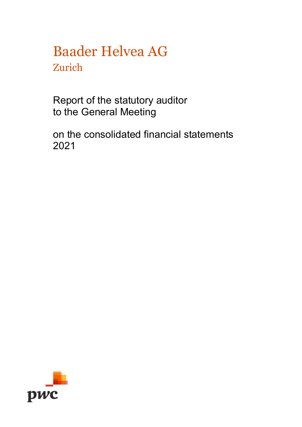# Baader Helvea AG Zurich

Report of the statutory auditor to the General Meeting

on the consolidated financial statements 2021

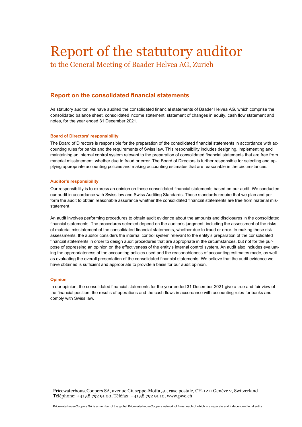# Report of the statutory auditor

to the General Meeting of Baader Helvea AG, Zurich

# **Report on the consolidated financial statements**

As statutory auditor, we have audited the consolidated financial statements of Baader Helvea AG, which comprise the consolidated balance sheet, consolidated income statement, statement of changes in equity, cash flow statement and notes, for the year ended 31 December 2021.

#### **Board of Directors' responsibility**

The Board of Directors is responsible for the preparation of the consolidated financial statements in accordance with accounting rules for banks and the requirements of Swiss law. This responsibility includes designing, implementing and maintaining an internal control system relevant to the preparation of consolidated financial statements that are free from material misstatement, whether due to fraud or error. The Board of Directors is further responsible for selecting and applying appropriate accounting policies and making accounting estimates that are reasonable in the circumstances.

#### **Auditor's responsibility**

Our responsibility is to express an opinion on these consolidated financial statements based on our audit. We conducted our audit in accordance with Swiss law and Swiss Auditing Standards. Those standards require that we plan and perform the audit to obtain reasonable assurance whether the consolidated financial statements are free from material misstatement.

An audit involves performing procedures to obtain audit evidence about the amounts and disclosures in the consolidated financial statements. The procedures selected depend on the auditor's judgment, including the assessment of the risks of material misstatement of the consolidated financial statements, whether due to fraud or error. In making those risk assessments, the auditor considers the internal control system relevant to the entity's preparation of the consolidated financial statements in order to design audit procedures that are appropriate in the circumstances, but not for the purpose of expressing an opinion on the effectiveness of the entity's internal control system. An audit also includes evaluating the appropriateness of the accounting policies used and the reasonableness of accounting estimates made, as well as evaluating the overall presentation of the consolidated financial statements. We believe that the audit evidence we have obtained is sufficient and appropriate to provide a basis for our audit opinion.

#### **Opinion**

In our opinion, the consolidated financial statements for the year ended 31 December 2021 give a true and fair view of the financial position, the results of operations and the cash flows in accordance with accounting rules for banks and comply with Swiss law.

PricewaterhouseCoopers SA, avenue Giuseppe-Motta 50, case postale, CH-1211 Genève 2, Switzerland Téléphone: +41 58 792 91 00, Téléfax: +41 58 792 91 10, www.pwc.ch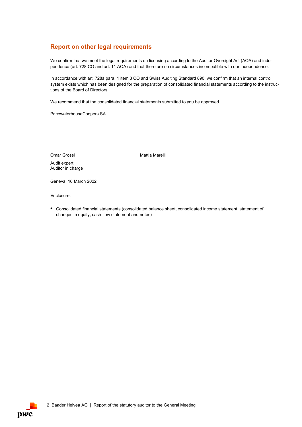# **Report on other legal requirements**

We confirm that we meet the legal requirements on licensing according to the Auditor Oversight Act (AOA) and independence (art. 728 CO and art. 11 AOA) and that there are no circumstances incompatible with our independence.

In accordance with art. 728a para. 1 item 3 CO and Swiss Auditing Standard 890, we confirm that an internal control system exists which has been designed for the preparation of consolidated financial statements according to the instructions of the Board of Directors.

We recommend that the consolidated financial statements submitted to you be approved.

PricewaterhouseCoopers SA

Omar Grossi **Mattia Marelli** Mattia Marelli

Audit expert Auditor in charge

Geneva, 16 March 2022

Enclosure:

• Consolidated financial statements (consolidated balance sheet, consolidated income statement, statement of changes in equity, cash flow statement and notes)

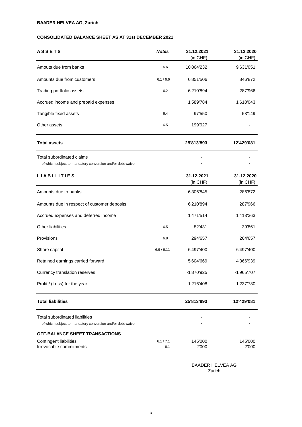# **CONSOLIDATED BALANCE SHEET AS AT 31st DECEMBER 2021**

| <b>ASSETS</b>                                                                                        | <b>Notes</b>     | 31.12.2021<br>(in CHF) | 31.12.2020<br>(in CHF) |
|------------------------------------------------------------------------------------------------------|------------------|------------------------|------------------------|
| Amouts due from banks                                                                                | 6.6              | 10'864'232             | 9'631'051              |
| Amounts due from customers                                                                           | 6.1 / 6.6        | 6'851'506              | 846'872                |
| Trading portfolio assets                                                                             | 6.2              | 6'210'894              | 287'966                |
| Accrued income and prepaid expenses                                                                  |                  | 1'589'784              | 1'610'043              |
| Tangible fixed assets                                                                                | 6.4              | 97'550                 | 53'149                 |
| Other assets                                                                                         | 6.5              | 199'927                |                        |
| <b>Total assets</b>                                                                                  |                  | 25'813'893             | 12'429'081             |
| Total subordinated claims<br>of which subject to mandatory conversion and/or debt waiver             |                  |                        |                        |
| <b>LIABILITIES</b>                                                                                   |                  | 31.12.2021<br>(in CHF) | 31.12.2020<br>(in CHF) |
| Amounts due to banks                                                                                 |                  | 6'306'845              | 286'872                |
| Amounts due in respect of customer deposits                                                          |                  | 6'210'894              | 287'966                |
| Accrued expenses and deferred income                                                                 |                  | 1'471'514              | 1'413'363              |
| Other liabilities                                                                                    | 6.5              | 82'431                 | 39'861                 |
| Provisions                                                                                           | 6.8              | 294'657                | 264'657                |
| Share capital                                                                                        | 6.9 / 6.11       | 6'497'400              | 6'497'400              |
| Retained earnings carried forward                                                                    |                  | 5'604'669              | 4'366'939              |
| Currency translation reserves                                                                        |                  | -1'870'925             | -1'965'707             |
| Profit / (Loss) for the year                                                                         |                  | 1'216'408              | 1'237'730              |
| <b>Total liabilities</b>                                                                             |                  | 25'813'893             | 12'429'081             |
| <b>Total subordinated liabilities</b><br>of which subject to mandatory conversion and/or debt waiver |                  |                        |                        |
| OFF-BALANCE SHEET TRANSACTIONS                                                                       |                  |                        |                        |
| Contingent liabilities<br>Irrevocable commitments                                                    | 6.1 / 7.1<br>6.1 | 145'000<br>2'000       | 145'000<br>2'000       |

BAADER HELVEA AG Zurich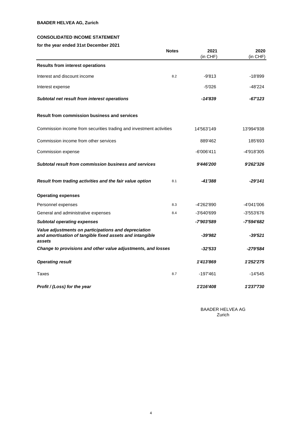# **CONSOLIDATED INCOME STATEMENT**

# **for the year ended 31st December 2021 Notes 2021 2020** (in CHF) (in CHF) **Results from interest operations** Interest and discount income and  $\overline{8.2}$  -9'813 -18'899 Interest expense -48'224  *-14'839 -67'123* 14'563'149 13'994'938 Commission income from other services 889'462 185'693 Commission expense  $-6'006'411$  -4'918'305  *9'446'200 9'262'326 Result from trading activities and the fair value option* 8.1 *-41'388 -29'141* **Operating expenses** Personnel expenses 2.3 2.3 2.4'262'890 -4'041'006 General and administrative expenses 6.4 by 3'640'699 contract and administrative expenses *Subtotal operating expenses -7'903'589 -7'594'682 Value adjustments on participations and depreciation and amortisation of tangible fixed assets and intangible assets -39'982 -39'521 -32'533 -279'584 Operating result 1'413'869 1'252'275* Taxes 8.7 -197'461 -14'545 Commission income from securities trading and investment activities *Subtotal result from commission business and services Change to provisions and other value adjustments, and losses Subtotal net result from interest operations* **Result from commission business and services**

*Profit / (Loss) for the year 1'216'408 1'237'730*

BAADER HELVEA AG Zurich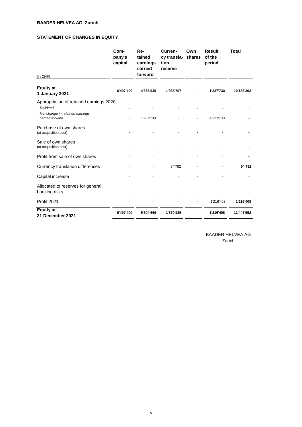# **STATEMENT OF CHANGES IN EQUITY**

| (in CHF)                                                                                                      | Com-<br>pany's<br>capital | Re-<br>tained<br>earnings<br>carried<br>forward | Curren-<br>cy transla-<br>tion<br>reserve | Own<br>shares | <b>Result</b><br>of the<br>period | <b>Total</b> |
|---------------------------------------------------------------------------------------------------------------|---------------------------|-------------------------------------------------|-------------------------------------------|---------------|-----------------------------------|--------------|
| <b>Equity at</b><br>1 January 2021                                                                            | 6'497'400                 | 4'366'939                                       | -1'965'707                                |               | 1'237'730                         | 10'136'362   |
| Appropriation of retained earnings 2020<br>- Dividend<br>- Net change in retained earnings<br>carried forward |                           | 1'237'730                                       |                                           |               | -1'237'730                        |              |
| Purchase of own shares<br>(at acquisition cost)                                                               |                           |                                                 |                                           |               |                                   |              |
| Sale of own shares<br>(at acquisition cost)                                                                   |                           |                                                 |                                           |               |                                   |              |
| Profit from sale of own shares                                                                                |                           |                                                 |                                           |               |                                   |              |
| Currency translation differences                                                                              |                           |                                                 | 94'782                                    |               |                                   | 94'782       |
| Capital increase                                                                                              |                           |                                                 |                                           |               |                                   |              |
| Allocated to reserves for general<br>banking risks                                                            |                           |                                                 |                                           |               |                                   |              |
| Profit 2021                                                                                                   |                           |                                                 |                                           | ä,            | 1'216'408                         | 1'216'408    |
| <b>Equity at</b><br>31 December 2021                                                                          | 6'497'400                 | 5'604'669                                       | -1'870'925                                | -             | 1'216'408                         | 11'447'552   |

BAADER HELVEA AG Zurich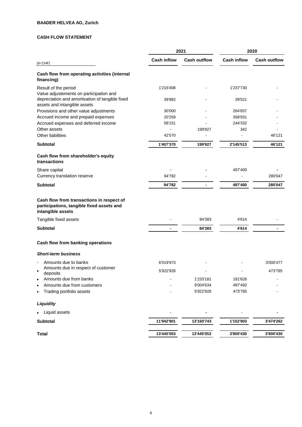# **CASH FLOW STATEMENT**

|                                                                                                             |                    | 2021                | 2020               |                     |  |
|-------------------------------------------------------------------------------------------------------------|--------------------|---------------------|--------------------|---------------------|--|
| (in CHF)                                                                                                    | <b>Cash inflow</b> | <b>Cash outflow</b> | <b>Cash inflow</b> | <b>Cash outflow</b> |  |
| Cash flow from operating activities (internal<br>financing)                                                 |                    |                     |                    |                     |  |
| Result of the period<br>Value adjustements on participation and                                             | 1'216'408          |                     | 1'237'730          |                     |  |
| depreciation and amortisation of tangible fixed<br>assets and intangible assets                             | 39'982             |                     | 39'521             |                     |  |
| Provisions and other value adjustments                                                                      | 30'000             |                     | 264'657            |                     |  |
| Accrued income and prepaid expenses                                                                         | 20'259             |                     | 358'931            |                     |  |
| Accrued expenses and deferred income                                                                        | 58'151             |                     | 244'332            |                     |  |
| Other assets                                                                                                |                    | 199'927             | 342                |                     |  |
| <b>Other liabilities</b>                                                                                    | 42'570             |                     |                    | 46'121              |  |
| <b>Subtotal</b>                                                                                             | 1'407'370          | 199'927             | 2'145'513          | 46'121              |  |
| Cash flow from shareholder's equity<br>transactions                                                         |                    |                     |                    |                     |  |
| Share capital                                                                                               |                    |                     | 497'400            |                     |  |
| Currency translation reserve                                                                                | 94'782             |                     |                    | 280'047             |  |
| <b>Subtotal</b>                                                                                             | 94'782             |                     | 497'400            | 280'047             |  |
| Cash flow from transactions in respect of<br>participations, tangible fixed assets and<br>intangible assets |                    |                     |                    |                     |  |
| Tangible fixed assets                                                                                       |                    | 84'383              | 4'614              |                     |  |
| <b>Subtotal</b>                                                                                             |                    | 84'383              | 4'614              |                     |  |
| Cash flow from banking operations                                                                           |                    |                     |                    |                     |  |
| <b>Short-term business</b>                                                                                  |                    |                     |                    |                     |  |
| Amounts due to banks                                                                                        | 6'019'973          |                     |                    | 3'000'477           |  |
| Amounts due in respect of customer<br>$\bullet$<br>deposits                                                 | 5'922'928          |                     |                    | 473'785             |  |
| Amounts due from banks<br>$\bullet$                                                                         |                    | 1'233'181           | 181'626            |                     |  |
| Amounts due from customers<br>$\bullet$                                                                     |                    | 6'004'634           | 497'492            |                     |  |
| Trading portfolio assets                                                                                    |                    | 5'922'928           | 473'785            |                     |  |
| Liquidity                                                                                                   |                    |                     |                    |                     |  |
| Liquid assets                                                                                               |                    |                     |                    |                     |  |
| <b>Subtotal</b>                                                                                             | 11'942'901         | 13'160'743          | 1'152'903          | 3'474'262           |  |
| <b>Total</b>                                                                                                | 13'445'053         | 13'445'053          | 3'800'430          | 3'800'430           |  |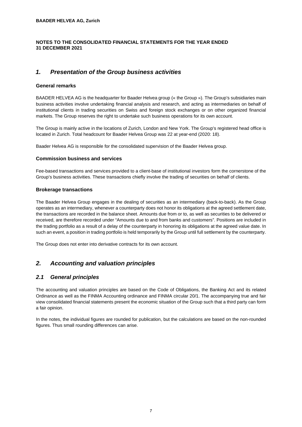# *1. Presentation of the Group business activities*

#### **General remarks**

BAADER HELVEA AG is the headquarter for Baader Helvea group (« the Group »). The Group's subsidiaries main business activities involve undertaking financial analysis and research, and acting as intermediaries on behalf of institutional clients in trading securities on Swiss and foreign stock exchanges or on other organized financial markets. The Group reserves the right to undertake such business operations for its own account.

The Group is mainly active in the locations of Zurich, London and New York. The Group's registered head office is located in Zurich. Total headcount for Baader Helvea Group was 22 at year-end (2020: 18).

Baader Helvea AG is responsible for the consolidated supervision of the Baader Helvea group.

#### **Commission business and services**

Fee-based transactions and services provided to a client-base of institutional investors form the cornerstone of the Group's business activities. These transactions chiefly involve the trading of securities on behalf of clients.

#### **Brokerage transactions**

The Baader Helvea Group engages in the dealing of securities as an intermediary (back-to-back). As the Group operates as an intermediary, whenever a counterparty does not honor its obligations at the agreed settlement date, the transactions are recorded in the balance sheet. Amounts due from or to, as well as securities to be delivered or received, are therefore recorded under "Amounts due to and from banks and customers". Positions are included in the trading portfolio as a result of a delay of the counterparty in honoring its obligations at the agreed value date. In such an event, a position in trading portfolio is held temporarily by the Group until full settlement by the counterparty.

The Group does not enter into derivative contracts for its own account.

# *2. Accounting and valuation principles*

# *2.1 General principles*

The accounting and valuation principles are based on the Code of Obligations, the Banking Act and its related Ordinance as well as the FINMA Accounting ordinance and FINMA circular 20/1. The accompanying true and fair view consolidated financial statements present the economic situation of the Group such that a third party can form a fair opinion.

In the notes, the individual figures are rounded for publication, but the calculations are based on the non-rounded figures. Thus small rounding differences can arise.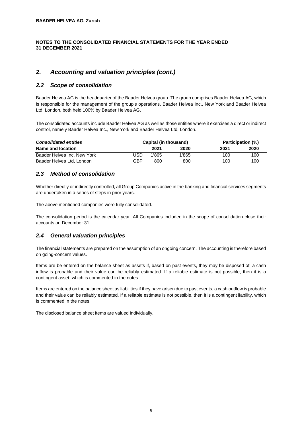# *2. Accounting and valuation principles (cont.)*

# *2.2 Scope of consolidation*

Baader Helvea AG is the headquarter of the Baader Helvea group. The group comprises Baader Helvea AG, which is responsible for the management of the group's operations, Baader Helvea Inc., New York and Baader Helvea Ltd, London, both held 100% by Baader Helvea AG.

The consolidated accounts include Baader Helvea AG as well as those entities where it exercises a direct or indirect control, namely Baader Helvea Inc., New York and Baader Helvea Ltd, London.

| <b>Consolidated entities</b> |     | Capital (in thousand) |       | <b>Participation (%)</b> |      |
|------------------------------|-----|-----------------------|-------|--------------------------|------|
| Name and location            |     | 2021                  | 2020  | 2021                     | 2020 |
| Baader Helvea Inc, New York  | USD | 1'865                 | 1'865 | 100                      | 100  |
| Baader Helvea Ltd, London    | GBP | 800                   | 800   | 100                      | 100  |

# *2.3 Method of consolidation*

Whether directly or indirectly controlled, all Group Companies active in the banking and financial services segments are undertaken in a series of steps in prior years.

The above mentioned companies were fully consolidated.

The consolidation period is the calendar year. All Companies included in the scope of consolidation close their accounts on December 31.

# *2.4 General valuation principles*

The financial statements are prepared on the assumption of an ongoing concern. The accounting is therefore based on going-concern values.

Items are be entered on the balance sheet as assets if, based on past events, they may be disposed of, a cash inflow is probable and their value can be reliably estimated. If a reliable estimate is not possible, then it is a contingent asset, which is commented in the notes.

Items are entered on the balance sheet as liabilities if they have arisen due to past events, a cash outflow is probable and their value can be reliably estimated. If a reliable estimate is not possible, then it is a contingent liability, which is commented in the notes.

The disclosed balance sheet items are valued individually.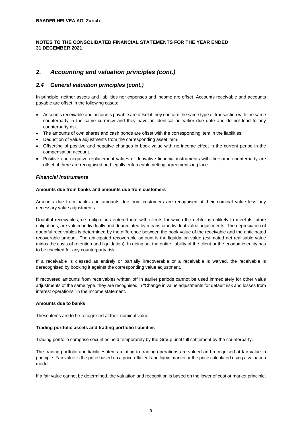# *2. Accounting and valuation principles (cont.)*

## *2.4 General valuation principles (cont.)*

In principle, neither assets and liabilities nor expenses and income are offset. Accounts receivable and accounts payable are offset in the following cases:

- Accounts receivable and accounts payable are offset if they concern the same type of transaction with the same counterparty in the same currency and they have an identical or earlier due date and do not lead to any counterparty risk.
- The amounts of own shares and cash bonds are offset with the corresponding item in the liabilities.
- Deduction of value adjustments from the corresponding asset item.
- Offsetting of positive and negative changes in book value with no income effect in the current period in the compensation account.
- Positive and negative replacement values of derivative financial instruments with the same counterparty are offset, if there are recognised and legally enforceable netting agreements in place.

#### *Financial instruments*

#### **Amounts due from banks and amounts due from customers**

Amounts due from banks and amounts due from customers are recognised at their nominal value less any necessary value adjustments.

Doubtful receivables, i.e. obligations entered into with clients for which the debtor is unlikely to meet its future obligations, are valued individually and depreciated by means or individual value adjustments. The depreciation of doubtful receivables is determined by the difference between the book value of the receivable and the anticipated recoverable amount. The anticipated recoverable amount is the liquidation value (estimated net realisable value minus the costs of retention and liquidation). In doing so, the entire liability of the client or the economic entity has to be checked for any counterparty risk.

If a receivable is classed as entirely or partially irrecoverable or a receivable is waived, the receivable is derecognised by booking it against the corresponding value adjustment.

If recovered amounts from receivables written off in earlier periods cannot be used immediately for other value adjustments of the same type, they are recognised in "Change in value adjustments for default risk and losses from interest operations" in the income statement.

#### **Amounts due to banks**

These items are to be recognised at their nominal value.

#### **Trading portfolio assets and trading portfolio liabilities**

Trading portfolio comprise securities held temporarely by the Group until full settlement by the counterparty.

The trading portfolio and liabilities items relating to trading operations are valued and recognised at fair value in principle. Fair value is the price based on a price-efficient and liquid market or the price calculated using a valuation model.

If a fair value cannot be determined, the valuation and recognition is based on the lower of cost or market principle.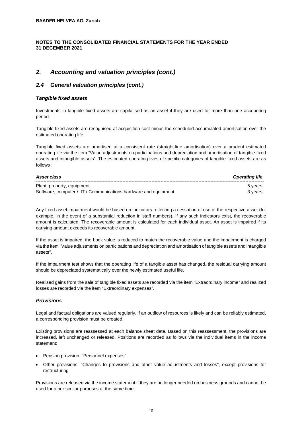# *2. Accounting and valuation principles (cont.)*

## *2.4 General valuation principles (cont.)*

#### *Tangible fixed assets*

Investments in tangible fixed assets are capitalised as an asset if they are used for more than one accounting period.

Tangible fixed assets are recognised at acquisition cost minus the scheduled accumulated amortisation over the estimated operating life.

Tangible fixed assets are amortised at a consistent rate (straight-line amortisation) over a prudent estimated operating life via the item "Value adjustments on participations and depreciation and amortisation of tangible fixed assets and intangible assets". The estimated operating lives of specific categories of tangible fixed assets are as follows :

| Asset class                                                     | <b>Operating life</b> |
|-----------------------------------------------------------------|-----------------------|
| Plant, property, equipment                                      | 5 years               |
| Software, computer / IT / Communications hardware and equipment | 3 years               |

Any fixed asset impairment would be based on indicators reflecting a cessation of use of the respective asset (for example, in the event of a substantial reduction in staff numbers). If any such indicators exist, the recoverable amount is calculated. The recoverable amount is calculated for each individual asset. An asset is impaired if its carrying amount exceeds its recoverable amount.

If the asset is impaired, the book value is reduced to match the recoverable value and the impairment is charged via the item "Value adjustments on participations and depreciation and amortisation of tangible assets and intangible assets".

If the impairment test shows that the operating life of a tangible asset has changed, the residual carrying amount should be depreciated systematically over the newly estimated useful life.

Realised gains from the sale of tangible fixed assets are recorded via the item "Extraordinary income" and realized losses are recorded via the item "Extraordinary expenses".

#### *Provisions*

Legal and factual obligations are valued regularly, if an outflow of resources is likely and can be reliably estimated, a corresponding provision must be created.

Existing provisions are reassessed at each balance sheet date. Based on this reassessment, the provisions are increased, left unchanged or released. Positions are recorded as follows via the individual items in the income statement:

- Pension provision: "Personnel expenses"
- Other provisions: "Changes to provisions and other value adjustments and losses", except provisions for restructuring

Provisions are released via the income statement if they are no longer needed on business grounds and cannot be used for other similar purposes at the same time.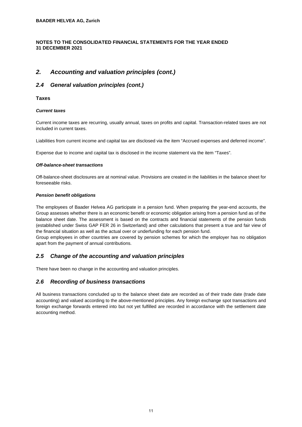# *2. Accounting and valuation principles (cont.)*

# *2.4 General valuation principles (cont.)*

#### **Taxes**

#### *Current taxes*

Current income taxes are recurring, usually annual, taxes on profits and capital. Transaction-related taxes are not included in current taxes.

Liabilities from current income and capital tax are disclosed via the item "Accrued expenses and deferred income".

Expense due to income and capital tax is disclosed in the income statement via the item "Taxes".

#### *Off-balance-sheet transactions*

Off-balance-sheet disclosures are at nominal value. Provisions are created in the liabilities in the balance sheet for foreseeable risks.

#### *Pension benefit obligations*

The employees of Baader Helvea AG participate in a pension fund. When preparing the year-end accounts, the Group assesses whether there is an economic benefit or economic obligation arising from a pension fund as of the balance sheet date. The assessment is based on the contracts and financial statements of the pension funds (established under Swiss GAP FER 26 in Switzerland) and other calculations that present a true and fair view of the financial situation as well as the actual over or underfunding for each pension fund.

Group employees in other countries are covered by pension schemes for which the employer has no obligation apart from the payment of annual contributions.

## *2.5 Change of the accounting and valuation principles*

There have been no change in the accounting and valuation principles.

## *2.6 Recording of business transactions*

All business transactions concluded up to the balance sheet date are recorded as of their trade date (trade date accounting) and valued according to the above-mentioned principles. Any foreign exchange spot transactions and foreign exchange forwards entered into but not yet fulfilled are recorded in accordance with the settlement date accounting method.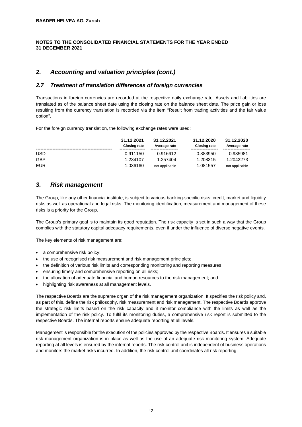# *2. Accounting and valuation principles (cont.)*

## *2.7 Treatment of translation differences of foreign currencies*

Transactions in foreign currencies are recorded at the respective daily exchange rate. Assets and liabilities are translated as of the balance sheet date using the closing rate on the balance sheet date. The price gain or loss resulting from the currency translation is recorded via the item "Result from trading activities and the fair value option".

For the foreign currency translation, the following exchange rates were used:

|            | 31.12.2021<br><b>Closing rate</b> | 31.12.2021<br>Average rate | 31.12.2020<br><b>Closing rate</b><br> | 31.12.2020<br>Average rate |
|------------|-----------------------------------|----------------------------|---------------------------------------|----------------------------|
| <b>USD</b> | 0.911150                          | 0.916612                   | 0.883950                              | 0.935981                   |
| <b>GBP</b> | 1.234107                          | 1.257404                   | 1.208315                              | 1.2042273                  |
| EUR        | 1.036160                          | not applicable             | 1.081557                              | not applicable             |

# *3. Risk management*

The Group, like any other financial institute, is subject to various banking-specific risks: credit, market and liquidity risks as well as operational and legal risks. The monitoring identification, measurement and management of these risks is a priority for the Group.

The Group's primary goal is to maintain its good reputation. The risk capacity is set in such a way that the Group complies with the statutory capital adequacy requirements, even if under the influence of diverse negative events.

The key elements of risk management are:

- a comprehensive risk policy:
- the use of recognised risk measurement and risk management principles;
- the definition of various risk limits and corresponding monitoring and reporting measures;
- ensuring timely and comprehensive reporting on all risks:
- the allocation of adequate financial and human resources to the risk management; and
- highlighting risk awareness at all management levels.

The respective Boards are the supreme organ of the risk management organization. It specifies the risk policy and, as part of this, define the risk philosophy, risk measurement and risk management. The respective Boards approve the strategic risk limits based on the risk capacity and it monitor compliance with the limits as well as the implementation of the risk policy. To fulfil its monitoring duties, a comprehensive risk report is submitted to the respective Boards. The internal reports ensure adequate reporting at all levels.

Management is responsible for the execution of the policies approved by the respective Boards. It ensures a suitable risk management organization is in place as well as the use of an adequate risk monitoring system. Adequate reporting at all levels is ensured by the internal reports. The risk control unit is independent of business operations and monitors the market risks incurred. In addition, the risk control unit coordinates all risk reporting.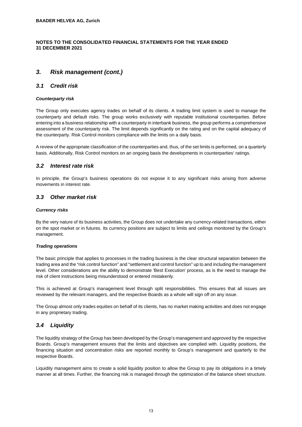## *3. Risk management (cont.)*

## *3.1 Credit risk*

#### *Counterparty risk*

The Group only executes agency trades on behalf of its clients. A trading limit system is used to manage the counterparty and default risks. The group works exclusively with reputable institutional counterparties. Before entering into a business relationship with a counterparty in interbank business, the group performs a comprehensive assessment of the counterparty risk. The limit depends significantly on the rating and on the capital adequacy of the counterparty. Risk Control monitors compliance with the limits on a daily basis.

A review of the appropriate classification of the counterparties and, thus, of the set limits is performed, on a quarterly basis. Additionally, Risk Control monitors on an ongoing basis the developments in counterparties' ratings.

#### *3.2 Interest rate risk*

In principle, the Group's business operations do not expose it to any significant risks arising from adverse movements in interest rate.

## *3.3 Other market risk*

#### *Currency risks*

By the very nature of its business activities, the Group does not undertake any currency-related transactions, either on the spot market or in futures. Its currency positions are subject to limits and ceilings monitored by the Group's management.

#### *Trading operations*

The basic principle that applies to processes in the trading business is the clear structural separation between the trading area and the "risk control function" and "settlement and control function" up to and including the management level. Other considerations are the ability to demonstrate 'Best Execution' process, as is the need to manage the risk of client instructions being misunderstood or entered mistakenly.

This is achieved at Group's management level through split responsibilities. This ensures that all issues are reviewed by the relevant managers, and the respective Boards as a whole will sign off on any issue.

The Group almost only trades equities on behalf of its clients, has no market making activities and does not engage in any proprietary trading.

## *3.4 Liquidity*

The liquidity strategy of the Group has been developed by the Group's management and approved by the respective Boards. Group's management ensures that the limits and objectives are complied with. Liquidity positions, the financing situation and concentration risks are reported monthly to Group's management and quarterly to the respective Boards.

Liquidity management aims to create a solid liquidity position to allow the Group to pay its obligations in a timely manner at all times. Further, the financing risk is managed through the optimization of the balance sheet structure.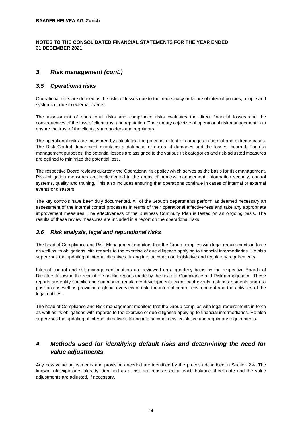# *3. Risk management (cont.)*

## *3.5 Operational risks*

Operational risks are defined as the risks of losses due to the inadequacy or failure of internal policies, people and systems or due to external events.

The assessment of operational risks and compliance risks evaluates the direct financial losses and the consequences of the loss of client trust and reputation. The primary objective of operational risk management is to ensure the trust of the clients, shareholders and regulators.

The operational risks are measured by calculating the potential extent of damages in normal and extreme cases. The Risk Control department maintains a database of cases of damages and the losses incurred. For risk management purposes, the potential losses are assigned to the various risk categories and risk-adjusted measures are defined to minimize the potential loss.

The respective Board reviews quarterly the Operational risk policy which serves as the basis for risk management. Risk-mitigation measures are implemented in the areas of process management, information security, control systems, quality and training. This also includes ensuring that operations continue in cases of internal or external events or disasters.

The key controls have been duly documented. All of the Group's departments perform as deemed necessary an assessment of the internal control processes in terms of their operational effectiveness and take any appropriate improvement measures. The effectiveness of the Business Continuity Plan is tested on an ongoing basis. The results of these review measures are included in a report on the operational risks.

## *3.6 Risk analysis, legal and reputational risks*

The head of Compliance and Risk Management monitors that the Group complies with legal requirements in force as well as its obligations with regards to the exercise of due diligence applying to financial intermediaries. He also supervises the updating of internal directives, taking into account non legislative and regulatory requirements.

Internal control and risk management matters are reviewed on a quarterly basis by the respective Boards of Directors following the receipt of specific reports made by the head of Compliance and Risk management. These reports are entity-specific and summarize regulatory developments, significant events, risk assessments and risk positions as well as providing a global overview of risk, the internal control environment and the activities of the legal entities.

The head of Compliance and Risk management monitors that the Group complies with legal requirements in force as well as its obligations with regards to the exercise of due diligence applying to financial intermediaries. He also supervises the updating of internal directives, taking into account new legislative and regulatory requirements.

# *4. Methods used for identifying default risks and determining the need for value adjustments*

Any new value adjustments and provisions needed are identified by the process described in Section 2.4. The known risk exposures already identified as at risk are reassessed at each balance sheet date and the value adjustments are adjusted, if necessary.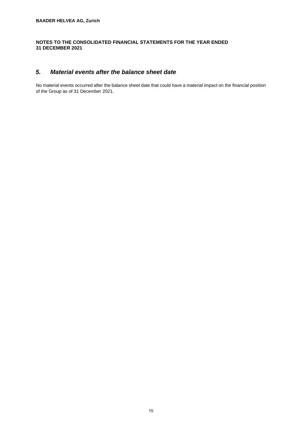# *5. Material events after the balance sheet date*

No material events occurred after the balance sheet date that could have a material impact on the financial position of the Group as of 31 December 2021.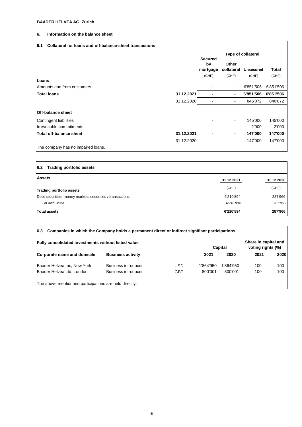# **6. Information on the balance sheet**

| 6.1<br>Collateral for loans and off-balance-sheet transactions |            |                    |                |                  |           |
|----------------------------------------------------------------|------------|--------------------|----------------|------------------|-----------|
|                                                                |            | Type of collateral |                |                  |           |
|                                                                |            | <b>Secured</b>     |                |                  |           |
|                                                                |            | by                 | Other          |                  |           |
|                                                                |            | mortgage           | collateral     | <b>Unsecured</b> | Total     |
|                                                                |            | (CHF)              | (CHF)          | (CHF)            | (CHF)     |
| Loans                                                          |            |                    |                |                  |           |
| Amounts due from customers                                     |            |                    | $\blacksquare$ | 6'851'506        | 6'851'506 |
| <b>Total loans</b>                                             | 31.12.2021 |                    | $\blacksquare$ | 6'851'506        | 6'851'506 |
|                                                                | 31.12.2020 |                    | $\blacksquare$ | 846'872          | 846'872   |
| <b>Off-balance sheet</b>                                       |            |                    |                |                  |           |
| Contingent liabilities                                         |            |                    | $\blacksquare$ | 145'000          | 145'000   |
| Irrevocable commitments                                        |            | ۰                  |                | 2'000            | 2'000     |
| <b>Total off-balance sheet</b>                                 | 31.12.2021 | $\blacksquare$     | $\blacksquare$ | 147'000          | 147'000   |
|                                                                | 31.12.2020 |                    | ٠              | 147'000          | 147'000   |
| The company has no impaired loans.                             |            |                    |                |                  |           |

| 6.2 <br><b>Trading portfolio assets</b>                  |            |            |
|----------------------------------------------------------|------------|------------|
| <b>Assets</b>                                            | 31.12.2021 | 31.12.2020 |
| <b>Trading portfolio assets</b>                          | (CHF)      | (CHF)      |
| Debt securities, money markets securities / transactions | 6'210'894  | 287'966    |
| - of wich, listed                                        | 6'210'894  | 287'966    |
| <b>Total assets</b>                                      | 6'210'894  | 287'966    |

| 6.3<br>Companies in which the Company holds a permanent direct or indirect signifiant participations<br><b>Fully consolidated investments without listed value</b> |                          | <b>Capital</b> |           | Share in capital and<br>voting rights (%) |      |      |
|--------------------------------------------------------------------------------------------------------------------------------------------------------------------|--------------------------|----------------|-----------|-------------------------------------------|------|------|
| Corporate name and domicile                                                                                                                                        | <b>Business activity</b> |                | 2021      | 2020                                      | 2021 | 2020 |
| Baader Helvea Inc, New York                                                                                                                                        | Business introducer      | <b>USD</b>     | 1'864'950 | 1'864'950                                 | 100  | 100  |
| Baader Helvea Ltd, London                                                                                                                                          | Business introducer      | <b>GBP</b>     | 800'001   | 800'001                                   | 100  | 100  |
| The above mentionned participations are held directly.                                                                                                             |                          |                |           |                                           |      |      |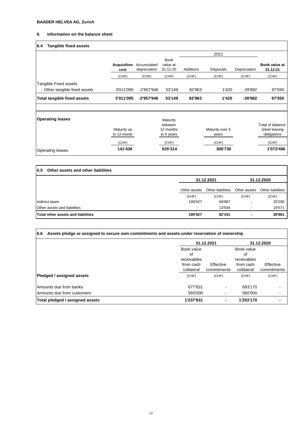# **6. Information on the balance sheet**

| 6.4<br><b>Tangible fixed assets</b> |                            |                             |                                                |           |                          |              |                                                   |
|-------------------------------------|----------------------------|-----------------------------|------------------------------------------------|-----------|--------------------------|--------------|---------------------------------------------------|
|                                     |                            |                             |                                                |           |                          |              |                                                   |
|                                     | <b>Acquisition</b><br>cost | Accumulated<br>depreciation | <b>Book</b><br>value at<br>31.12.20            | Additions | Disposals                | Depreciation | Book value at<br>31.12.21                         |
|                                     | (CHF)                      | (CHF)                       | (CHF)                                          | (CHF)     | (CHF)                    | (CHF)        | (CHF)                                             |
| Tangible Fixed assets               |                            |                             |                                                |           |                          |              |                                                   |
| - Other tangible fixed assets       | 3'011'095                  | -2'957'946                  | 53'149                                         | 82'963    | 1'420                    | -39'982      | 97'550                                            |
| <b>Total tangible fixed assets</b>  | 3'011'095                  | -2'957'946                  | 53'149                                         | 82'963    | 1'420                    | -39'982      | 97'550                                            |
|                                     |                            |                             |                                                |           |                          |              |                                                   |
| <b>Operating leases</b>             | Maturity up<br>to 12 monts |                             | Maturity<br>between<br>12 months<br>to 5 years |           | Maturity over 5<br>years |              | Total of balance-<br>sheet leasing<br>obligations |
|                                     | (CHF)                      |                             | (CHF)                                          |           | (CHF)                    |              | (CHF)                                             |
| <b>Operating leases</b>             | 141'436                    |                             | 625'314                                        |           | 306'736                  |              | 1'073'486                                         |

| 16.5<br>Other assets and other liabilities |                          |                   |              |                   |  |
|--------------------------------------------|--------------------------|-------------------|--------------|-------------------|--|
|                                            | 31.12.2021<br>31.12.2020 |                   |              |                   |  |
|                                            | Other assets             | Other liabilities | Other assets | Other liabilities |  |
|                                            | (CHF)                    | (CHF)             | (CHF)        | (CHF)             |  |
| Indirect taxes                             | 199'927                  | 68'887            |              | 20'290            |  |
| <b>Other assets and liabilities</b>        |                          | 13'544            |              | 19'571            |  |
| <b>Total other assets and liabilities</b>  | 199'927                  | 82'431            |              | 39'861            |  |

| Assets pledge or assigned to secure own commitments and assets under reservation of ownership<br>6.6 |                                                            |                          |                                                            |                          |  |
|------------------------------------------------------------------------------------------------------|------------------------------------------------------------|--------------------------|------------------------------------------------------------|--------------------------|--|
|                                                                                                      |                                                            | 31.12.2021               | 31.12.2020                                                 |                          |  |
|                                                                                                      | Book value<br>of<br>receivables<br>from cash<br>collateral | Effective<br>commitments | Book value<br>οf<br>receivables<br>from cash<br>collateral | Effective<br>commitments |  |
| Pledged / assigned assets                                                                            | (CHF)                                                      | (CHF)                    | (CHF)                                                      | (CHF)                    |  |
| <b>Amounts due from banks</b>                                                                        | 677'831                                                    | ۰.                       | 693'170                                                    |                          |  |
| <b>Amounts due from customers</b>                                                                    | 560'000                                                    | ۰                        | 560'000                                                    |                          |  |
| Total pledged / assigned assets                                                                      | 1'237'831                                                  | $\blacksquare$           | 1'253'170                                                  |                          |  |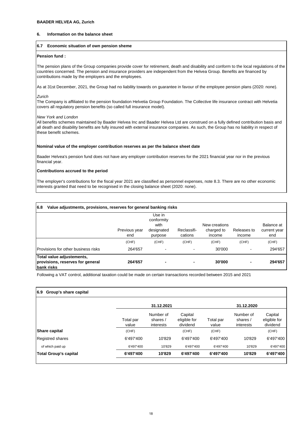## **6. Information on the balance sheet**

## **6.7 Economic situation of own pension sheme**

#### **Pension fund :**

The pension plans of the Group companies provide cover for retirement, death and disability and conform to the local regulations of the countries concerned. The pension and insurance providers are independent from the Helvea Group. Benefits are financed by contributions made by the employers and the employees.

As at 31st December, 2021, the Group had no liability towards on guarantee in favour of the employee pension plans (2020: none).

#### *Zurich*

The Company is affiliated to the pension foundation Helvetia Group Foundation. The Collective life insurance contract with Helvetia covers all regulatory pension benefits (so called full insurance model).

#### *New York and London*

All benefits schemes maintained by Baader Helvea Inc and Baader Helvea Ltd are construed on a fully defined contribution basis and all death and disability benefits are fully insured with external insurance companies. As such, the Group has no liability in respect of these benefit schemes.

#### **Nominal value of the employer contribution reserves as per the balance sheet date**

Baader Helvea's pension fund does not have any employer contribution reserves for the 2021 financial year nor in the previous financial year.

#### **Contributions accrued to the period**

The employer's contributions for the fiscal year 2021 are classified as personnel expenses, note 8.3. There are no other economic interests granted that need to be recognised in the closing balance sheet (2020: none).

| 6.8 <br>Value adjustments, provisions, reserves for general banking risks   |                      |                                                       |                        |                                       |                       |                                   |
|-----------------------------------------------------------------------------|----------------------|-------------------------------------------------------|------------------------|---------------------------------------|-----------------------|-----------------------------------|
|                                                                             | Previous year<br>end | Use in<br>conformity<br>with<br>designated<br>purpose | Reclassifi-<br>cations | New creations<br>charged to<br>income | Releases to<br>income | Balance at<br>current year<br>end |
|                                                                             | (CHF)                | (CHF)                                                 | (CHF)                  | (CHF)                                 | (CHF)                 | (CHF)                             |
| Provisions for other business risks                                         | 264'657              |                                                       |                        | 30'000                                |                       | 294'657                           |
| Total value adjustements,<br>provisions, reserves for general<br>bank risks | 264'657              |                                                       |                        | 30'000                                |                       | 294'657                           |

Following a VAT control, additional taxation could be made on certain transactions recorded between 2015 and 2021

| Group's share capital<br> 6.9 |                    |                                    |                                     |                    |                                    |                                     |
|-------------------------------|--------------------|------------------------------------|-------------------------------------|--------------------|------------------------------------|-------------------------------------|
|                               |                    | 31.12.2021                         |                                     |                    | 31.12.2020                         |                                     |
|                               | Total par<br>value | Number of<br>shares /<br>interests | Capital<br>eligible for<br>dividend | Total par<br>value | Number of<br>shares /<br>interests | Capital<br>eligible for<br>dividend |
| <b>Share capital</b>          | (CHF)              |                                    | (CHF)                               | (CHF)              |                                    | (CHF)                               |
| <b>Registred shares</b>       | 6'497'400          | 10'829                             | 6'497'400                           | 6'497'400          | 10'829                             | 6'497'400                           |
| of which paid up              | 6'497'400          | 10'829                             | 6'497'400                           | 6'497'400          | 10'829                             | 6'497'400                           |
| <b>Total Group's capital</b>  | 6'497'400          | 10'829                             | 6'497'400                           | 6'497'400          | 10'829                             | 6'497'400                           |
|                               |                    |                                    |                                     |                    |                                    |                                     |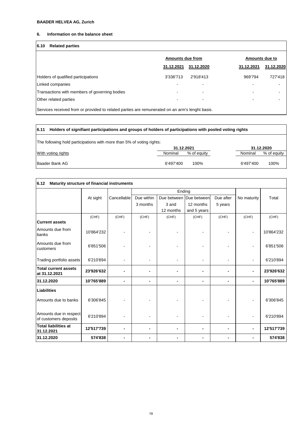# **6. Information on the balance sheet**

| 6.10<br><b>Related parties</b>                                                                  |                         |            |                |            |
|-------------------------------------------------------------------------------------------------|-------------------------|------------|----------------|------------|
|                                                                                                 | <b>Amounts due from</b> |            | Amounts due to |            |
|                                                                                                 | 31.12.2021              | 31.12.2020 | 31.12.2021     | 31.12.2020 |
| Holders of qualified participations                                                             | 3'336'713               | 2'918'413  | 969'794        | 727'418    |
| Linked companies                                                                                |                         |            |                |            |
| Transactions with members of governing bodies                                                   |                         |            |                |            |
| Other related parties                                                                           |                         |            |                |            |
| Services received from or provided to related parties are remunerated on an arm's lenght basis. |                         |            |                |            |

| 16.11<br>Holders of signifiant participations and groups of holders of participations with pooled voting rights |            |             |           |             |
|-----------------------------------------------------------------------------------------------------------------|------------|-------------|-----------|-------------|
| The following hold participations with more than 5% of voting rights:                                           |            |             |           |             |
|                                                                                                                 | 31.12.2021 |             |           | 31.12.2020  |
| With voting rights                                                                                              | Nominal    | % of equity | Nominal   | % of equity |
| Baader Bank AG                                                                                                  | 6'497'400  | 100%        | 6'497'400 | 100%        |

| 6.12<br>Maturity structure of financial instruments |            |                |            |                |                         |                |                |            |
|-----------------------------------------------------|------------|----------------|------------|----------------|-------------------------|----------------|----------------|------------|
|                                                     |            |                |            | Ending         |                         |                |                |            |
|                                                     | At sight   | Cancellable    | Due within |                | Due between Due between | Due after      | No maturity    | Total      |
|                                                     |            |                | 3 months   | 3 and          | 12 months               | 5 years        |                |            |
|                                                     |            |                |            | 12 months      | and 5 years             |                |                |            |
| <b>Current assets</b>                               | (CHF)      | (CHF)          | (CHF)      | (CHF)          | (CHF)                   | (CHF)          | (CHF)          | (CHF)      |
| Amounts due from<br>banks                           | 10'864'232 |                |            |                |                         |                |                | 10'864'232 |
| Amounts due from<br>customers                       | 6'851'506  |                |            |                |                         |                |                | 6'851'506  |
| Trading portfolio assets                            | 6'210'894  |                |            |                |                         |                |                | 6'210'894  |
| <b>Total current assets</b><br>at 31.12.2021        | 23'926'632 |                |            |                |                         |                |                | 23'926'632 |
| 31.12.2020                                          | 10'765'889 | $\blacksquare$ |            | $\blacksquare$ |                         | $\blacksquare$ | $\blacksquare$ | 10'765'889 |
| <b>Liabilities</b>                                  |            |                |            |                |                         |                |                |            |
| Amounts due to banks                                | 6'306'845  |                |            |                |                         |                |                | 6'306'845  |
| Amounts due in respect<br>of customers deposits     | 6'210'894  |                |            |                |                         |                |                | 6'210'894  |
| <b>Total liabilities at</b><br>31.12.2021           | 12'517'739 |                |            |                |                         |                |                | 12'517'739 |
| 31.12.2020                                          | 574'838    | $\blacksquare$ |            |                | -                       | $\blacksquare$ |                | 574'838    |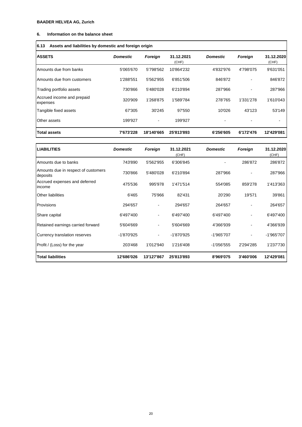# **6. Information on the balance sheet**

| Assets and liabilities by domestic and foreign origin<br> 6.13 |                 |                |                     |                 |                |                     |
|----------------------------------------------------------------|-----------------|----------------|---------------------|-----------------|----------------|---------------------|
| <b>ASSETS</b>                                                  | <b>Domestic</b> | <b>Foreign</b> | 31.12.2021<br>(CHF) | <b>Domestic</b> | <b>Foreign</b> | 31.12.2020<br>(CHF) |
| Amounts due from banks                                         | 5'065'670       | 5'798'562      | 10'864'232          | 4'832'976       | 4'798'075      | 9'631'051           |
| Amounts due from customers                                     | 1'288'551       | 5'562'955      | 6'851'506           | 846'872         | ۰              | 846'872             |
| Trading portfolio assets                                       | 730'866         | 5'480'028      | 6'210'894           | 287'966         |                | 287'966             |
| Accrued income and prepaid<br>expenses                         | 320'909         | 1'268'875      | 1'589'784           | 278'765         | 1'331'278      | 1'610'043           |
| Tangible fixed assets                                          | 67'305          | 30'245         | 97'550              | 10'026          | 43'123         | 53'149              |
| Other assets                                                   | 199'927         | ۰.             | 199'927             |                 |                |                     |
| <b>Total assets</b>                                            | 7'673'228       | 18'140'665     | 25'813'893          | 6'256'605       | 6'172'476      | 12'429'081          |

| <b>LIABILITIES</b>                              | <b>Domestic</b> | Foreign                  | 31.12.2021<br>(CHF) | <b>Domestic</b> | <b>Foreign</b> | 31.12.2020<br>(CHF) |
|-------------------------------------------------|-----------------|--------------------------|---------------------|-----------------|----------------|---------------------|
| Amounts due to banks                            | 743'890         | 5'562'955                | 6'306'845           |                 | 286'872        | 286'872             |
| Amounts due in respect of customers<br>deposits | 730'866         | 5'480'028                | 6'210'894           | 287'966         |                | 287'966             |
| Accrued expenses and deferred<br>income         | 475'536         | 995'978                  | 1'471'514           | 554'085         | 859'278        | 1'413'363           |
| <b>Other liabilities</b>                        | 6'465           | 75'966                   | 82'431              | 20'290          | 19'571         | 39'861              |
| <b>Provisions</b>                               | 294'657         |                          | 294'657             | 264'657         |                | 264'657             |
| Share capital                                   | 6'497'400       |                          | 6'497'400           | 6'497'400       |                | 6'497'400           |
| Retained earnings carried forward               | 5'604'669       |                          | 5'604'669           | 4'366'939       |                | 4'366'939           |
| Currency translation reserves                   | -1'870'925      | $\overline{\phantom{a}}$ | -1'870'925          | -1'965'707      |                | -1'965'707          |
| Profit / (Loss) for the year                    | 203'468         | 1'012'940                | 1'216'408           | -1'056'555      | 2'294'285      | 1'237'730           |
| <b>Total liabilities</b>                        | 12'686'026      | 13'127'867               | 25'813'893          | 8'969'075       | 3'460'006      | 12'429'081          |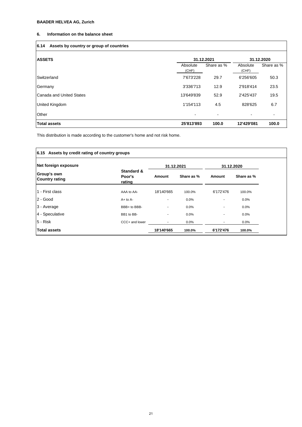# **6. Information on the balance sheet**

| Assets by country or group of countries<br>6.14 |                   |            |                   |            |
|-------------------------------------------------|-------------------|------------|-------------------|------------|
| <b>ASSETS</b>                                   |                   | 31.12.2021 |                   | 31.12.2020 |
|                                                 | Absolute<br>(CHF) | Share as % | Absolute<br>(CHF) | Share as % |
| Switzerland                                     | 7'673'228         | 29.7       | 6'256'605         | 50.3       |
| Germany                                         | 3'336'713         | 12.9       | 2'918'414         | 23.5       |
| Canada and United States                        | 13'649'839        | 52.9       | 2'425'437         | 19.5       |
| <b>United Kingdom</b>                           | 1'154'113         | 4.5        | 828'625           | 6.7        |
| Other                                           |                   |            |                   |            |
| <b>Total assets</b>                             | 25'813'893        | 100.0      | 12'429'081        | 100.0      |

This distribution is made according to the customer's home and not risk home.

| Net foreign exposure                 |                                | 31.12.2021     |            | 31.12.2020               |            |
|--------------------------------------|--------------------------------|----------------|------------|--------------------------|------------|
| Group's own<br><b>Country rating</b> | Standard &<br>Poor's<br>rating | <b>Amount</b>  | Share as % | <b>Amount</b>            | Share as % |
| 1 - First class                      | AAA to AA-                     | 18'140'665     | 100.0%     | 6'172'476                | 100.0%     |
| $2 - Good$                           | $A+$ to $A-$                   | $\blacksquare$ | $0.0\%$    | $\overline{\phantom{0}}$ | $0.0\%$    |
| 3 - Average                          | BBB+ to BBB-                   |                | $0.0\%$    | ٠                        | 0.0%       |
| 4 - Speculative                      | BB1 to BB-                     | ٠              | 0.0%       | ٠                        | $0.0\%$    |
| $5 - Risk$                           | CCC+ and lower                 |                | $0.0\%$    | ٠                        | $0.0\%$    |
| <b>Total assets</b>                  |                                | 18'140'665     | 100.0%     | 6'172'476                | 100.0%     |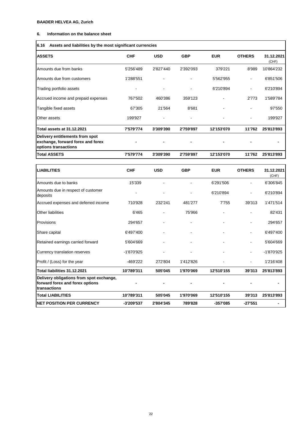## **6. Information on the balance sheet**

| Assets and liabilities by the most significant currencies<br>6.16                            |            |            |            |            |               |                     |
|----------------------------------------------------------------------------------------------|------------|------------|------------|------------|---------------|---------------------|
| <b>ASSETS</b>                                                                                | <b>CHF</b> | <b>USD</b> | <b>GBP</b> | <b>EUR</b> | <b>OTHERS</b> | 31.12.2021<br>(CHF) |
| Amounts due from banks                                                                       | 5'256'489  | 2'827'440  | 2'392'093  | 379'221    | 8'989         | 10'864'232          |
| Amounts due from customers                                                                   | 1'288'551  |            |            | 5'562'955  | ۰.            | 6'851'506           |
| Trading portfolio assets                                                                     |            |            |            | 6'210'894  | ٠.            | 6'210'894           |
| Accrued income and prepaid expenses                                                          | 767'502    | 460'386    | 359'123    |            | 2'773         | 1'589'784           |
| Tangible fixed assets                                                                        | 67'305     | 21'564     | 8'681      |            |               | 97'550              |
| <b>Other assets</b>                                                                          | 199'927    |            |            |            |               | 199'927             |
| <b>Total assets at 31.12.2021</b>                                                            | 7'579'774  | 3'309'390  | 2'759'897  | 12'153'070 | 11'762        | 25'813'893          |
| Delivery entitlements from spot<br>exchange, forward forex and forex<br>options transactions |            |            |            |            |               |                     |
| <b>Total ASSETS</b>                                                                          | 7'579'774  | 3'309'390  | 2'759'897  | 12'153'070 | 11'762        | 25'813'893          |

| <b>LIABILITIES</b>                                                                          | <b>CHF</b> | <b>USD</b> | <b>GBP</b> | <b>EUR</b> | <b>OTHERS</b> | 31.12.2021<br>(CHF) |
|---------------------------------------------------------------------------------------------|------------|------------|------------|------------|---------------|---------------------|
| Amounts due to banks                                                                        | 15'339     |            |            | 6'291'506  |               | 6'306'845           |
| Amounts due in respect of customer<br>deposits                                              |            |            |            | 6'210'894  |               | 6'210'894           |
| Accrued expenses and deferred income                                                        | 710'928    | 232'241    | 481'277    | 7'755      | 39'313        | 1'471'514           |
| Other liabilities                                                                           | 6'465      |            | 75'966     |            |               | 82'431              |
| Provisions                                                                                  | 294'657    |            |            |            |               | 294'657             |
| Share capital                                                                               | 6'497'400  |            |            |            |               | 6'497'400           |
| Retained earnings carried forward                                                           | 5'604'669  |            |            |            |               | 5'604'669           |
| Currency translation reserves                                                               | -1'870'925 |            |            |            |               | -1'870'925          |
| Profit / (Loss) for the year                                                                | -469'222   | 272'804    | 1'412'826  |            |               | 1'216'408           |
| Total liabilities 31.12.2021                                                                | 10'789'311 | 505'045    | 1'970'069  | 12'510'155 | 39'313        | 25'813'893          |
| Delivery obligations from spot exchange,<br>forward forex and forex options<br>transactions |            |            |            |            |               |                     |
| <b>Total LIABILITIES</b>                                                                    | 10'789'311 | 505'045    | 1'970'069  | 12'510'155 | 39'313        | 25'813'893          |
| <b>NET POSITION PER CURRENCY</b>                                                            | -3'209'537 | 2'804'345  | 789'828    | -357'085   | $-27'551$     |                     |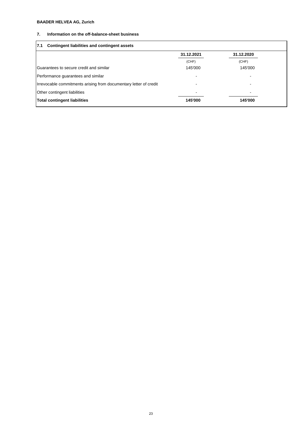# **7. Information on the off-balance-sheet business**

|                                                                   | 31.12.2021 | 31.12.2020 |
|-------------------------------------------------------------------|------------|------------|
|                                                                   |            |            |
|                                                                   | (CHF)      | (CHF)      |
| Guarantees to secure credit and similar                           | 145'000    | 145'000    |
| Performance guarantees and similar                                |            |            |
| Irrevocable commitments arising from documentary letter of credit |            |            |
| Other contingent liabilities                                      |            |            |
| <b>Total contingent liabilities</b>                               | 145'000    | 145'000    |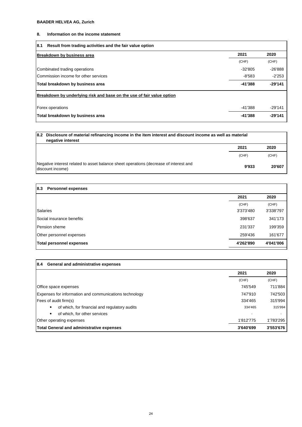# **8. Information on the income statement**

| <b>8.1</b><br>Result from trading activities and the fair value option |           |           |
|------------------------------------------------------------------------|-----------|-----------|
| Breakdown by business area                                             | 2021      | 2020      |
|                                                                        | (CHF)     | (CHF)     |
| Combinated trading operations                                          | $-32'805$ | $-26'888$ |
| Commission income for other services                                   | -8'583    | $-2'253$  |
| Total breakdown by business area                                       | $-41'388$ | $-29'141$ |
| Breakdown by underlying risk and base on the use of fair value option  |           |           |
| Forex operations                                                       | -41'388   | $-29'141$ |
| Total breakdown by business area                                       | $-41'388$ | $-29'141$ |

| Disclosure of material refinancing income in the item interest and discount income as well as material<br>I8.2<br>negative interest |                                                                                                           |       |        |
|-------------------------------------------------------------------------------------------------------------------------------------|-----------------------------------------------------------------------------------------------------------|-------|--------|
|                                                                                                                                     |                                                                                                           | 2021  | 2020   |
|                                                                                                                                     |                                                                                                           | (CHF) | (CHF)  |
|                                                                                                                                     | Negative interest related to asset balance sheet operations (decrease of interest and<br>discount income) | 9'933 | 20'607 |

| 8.3<br><b>Personnel expenses</b> |           |           |
|----------------------------------|-----------|-----------|
|                                  | 2021      | 2020      |
|                                  | (CHF)     | (CHF)     |
| <b>Salaries</b>                  | 3'373'480 | 3'338'797 |
| Social insurance benefits        | 398'637   | 341'173   |
| Pension sheme                    | 231'337   | 199'359   |
| Other personnel expenses         | 259'436   | 161'677   |
| Total personnel expenses         | 4'262'890 | 4'041'006 |

| 18.4<br><b>General and administrative expenses</b>         |           |           |
|------------------------------------------------------------|-----------|-----------|
|                                                            | 2021      | 2020      |
|                                                            | (CHF)     | (CHF)     |
| Office space expenses                                      | 745'549   | 711'884   |
| Expenses for information and communications technology     | 747'910   | 742'503   |
| Fees of audit firm(s)                                      | 334'465   | 315'994   |
| of which, for financial and regulatory audits<br>$\bullet$ | 334'465   | 315'994   |
| of which, for other services<br>$\bullet$                  |           |           |
| Other operating expenses                                   | 1'812'775 | 1'783'295 |
| <b>Total General and administrative expenses</b>           | 3'640'699 | 3'553'676 |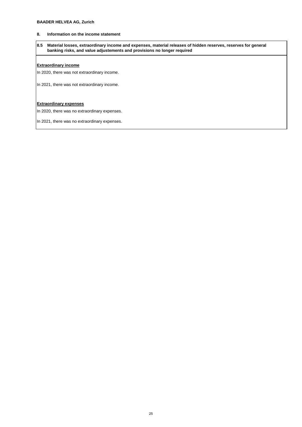## **8. Information on the income statement**

**8.5 Material losses, extraordinary income and expenses, material releases of hidden reserves, reserves for general banking risks, and value adjustements and provisions no longer required**

# **Extraordinary income**

In 2020, there was not extraordinary income.

In 2021, there was not extraordinary income.

# **Extraordinary expenses**

In 2020, there was no extraordinary expenses.

In 2021, there was no extraordinary expenses.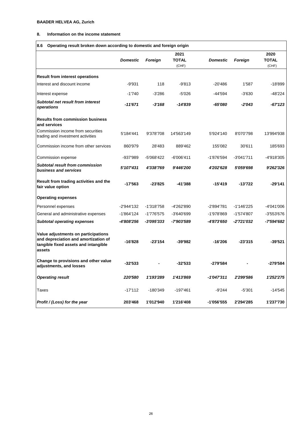# **8. Information on the income statement**

| 8.6<br>Operating result broken down according to domestic and foreign origin                                                  |                 |                |                               |                 |              |                               |
|-------------------------------------------------------------------------------------------------------------------------------|-----------------|----------------|-------------------------------|-----------------|--------------|-------------------------------|
|                                                                                                                               | <b>Domestic</b> | <b>Foreign</b> | 2021<br><b>TOTAL</b><br>(CHF) | <b>Domestic</b> | Foreign      | 2020<br><b>TOTAL</b><br>(CHF) |
| <b>Result from interest operations</b>                                                                                        |                 |                |                               |                 |              |                               |
| Interest and discount income                                                                                                  | $-9'931$        | 118            | $-9'813$                      | $-20'486$       | 1'587        | $-18'899$                     |
| Interest expense                                                                                                              | $-1'740$        | $-3'286$       | $-5'026$                      | -44'594         | $-3'630$     | $-48'224$                     |
| <b>Subtotal net result from interest</b><br>operations                                                                        | $-11'671$       | $-3'168$       | $-14'839$                     | $-65'080$       | $-2'043$     | $-67'123$                     |
| <b>Results from commission business</b><br>and services                                                                       |                 |                |                               |                 |              |                               |
| Commission income from securities<br>trading and investment activities                                                        | 5'184'441       | 9'378'708      | 14'563'149                    | 5'924'140       | 8'070'798    | 13'994'938                    |
| Commission income from other services                                                                                         | 860'979         | 28'483         | 889'462                       | 155'082         | 30'611       | 185'693                       |
| <b>Commission expense</b>                                                                                                     | -937'989        | -5'068'422     | $-6'006'411$                  | -1'876'594      | $-3'041'711$ | -4'918'305                    |
| <b>Subtotal result from commission</b><br>business and services                                                               | 5'107'431       | 4'338'769      | 9'446'200                     | 4'202'628       | 5'059'698    | 9'262'326                     |
| <b>Result from trading activities and the</b><br>fair value option                                                            | $-17'563$       | $-23'825$      | $-41'388$                     | $-15'419$       | $-13'722$    | $-29'141$                     |
| <b>Operating expenses</b>                                                                                                     |                 |                |                               |                 |              |                               |
| Personnel expenses                                                                                                            | $-2'944'132$    | $-1'318'758$   | -4'262'890                    | -2'894'781      | $-1'146'225$ | -4'041'006                    |
| General and administrative expenses                                                                                           | $-1'864'124$    | $-1'776'575$   | -3'640'699                    | -1'978'869      | -1'574'807   | -3'553'676                    |
| <b>Subtotal operating expenses</b>                                                                                            | -4'808'256      | -3'095'333     | -7'903'589                    | -4'873'650      | -2'721'032   | -7'594'682                    |
| Value adjustments on participations<br>and depreciation and amortization of<br>tangible fixed assets and intangible<br>assets | $-16'828$       | $-23'154$      | -39'982                       | $-16'206$       | $-23'315$    | $-39'521$                     |
| Change to provisions and other value<br>adjustments, and losses                                                               | $-32'533$       |                | $-32'533$                     | $-279'584$      |              | $-279'584$                    |
| <b>Operating result</b>                                                                                                       | 220'580         | 1'193'289      | 1'413'869                     | $-1'047'311$    | 2'299'586    | 1'252'275                     |
| <b>Taxes</b>                                                                                                                  | $-17'112$       | $-180'349$     | $-197'461$                    | $-9'244$        | $-5'301$     | $-14'545$                     |
| Profit / (Loss) for the year                                                                                                  | 203'468         | 1'012'940      | 1'216'408                     | -1'056'555      | 2'294'285    | 1'237'730                     |